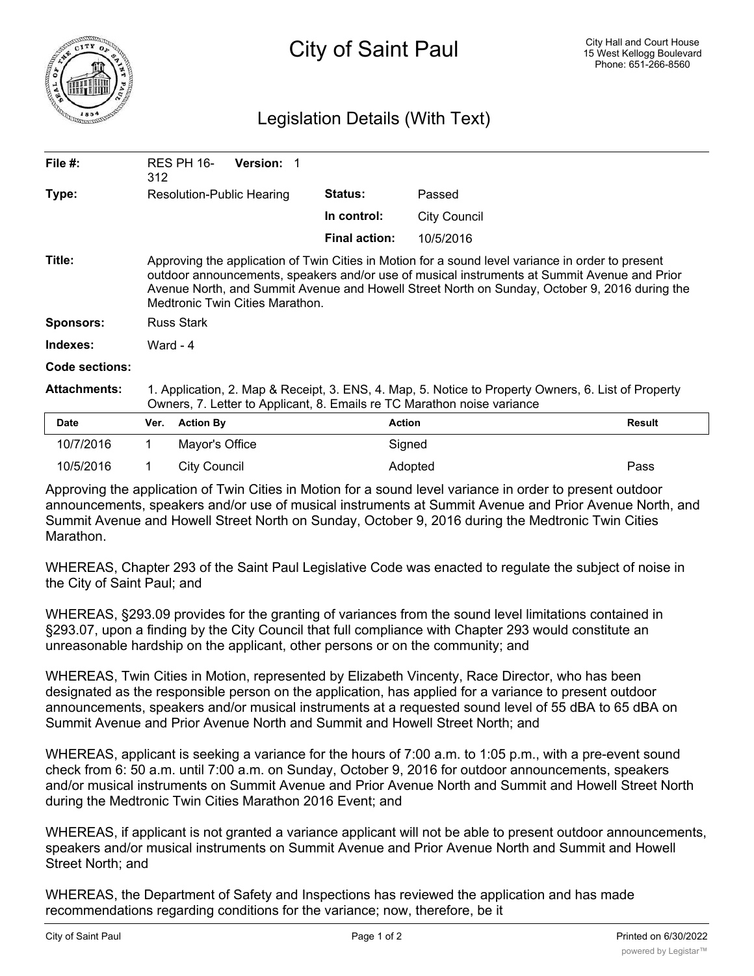

## Legislation Details (With Text)

| File $#$ :            | 312                                                                                                                                                                                                                                                                                                                                   | <b>RES PH 16-</b> | <b>Version: 1</b> |                      |                     |               |
|-----------------------|---------------------------------------------------------------------------------------------------------------------------------------------------------------------------------------------------------------------------------------------------------------------------------------------------------------------------------------|-------------------|-------------------|----------------------|---------------------|---------------|
| Type:                 | Resolution-Public Hearing                                                                                                                                                                                                                                                                                                             |                   |                   | <b>Status:</b>       | Passed              |               |
|                       |                                                                                                                                                                                                                                                                                                                                       |                   |                   | In control:          | <b>City Council</b> |               |
|                       |                                                                                                                                                                                                                                                                                                                                       |                   |                   | <b>Final action:</b> | 10/5/2016           |               |
| Title:                | Approving the application of Twin Cities in Motion for a sound level variance in order to present<br>outdoor announcements, speakers and/or use of musical instruments at Summit Avenue and Prior<br>Avenue North, and Summit Avenue and Howell Street North on Sunday, October 9, 2016 during the<br>Medtronic Twin Cities Marathon. |                   |                   |                      |                     |               |
| <b>Sponsors:</b>      | <b>Russ Stark</b>                                                                                                                                                                                                                                                                                                                     |                   |                   |                      |                     |               |
| Indexes:              | Ward - 4                                                                                                                                                                                                                                                                                                                              |                   |                   |                      |                     |               |
| <b>Code sections:</b> |                                                                                                                                                                                                                                                                                                                                       |                   |                   |                      |                     |               |
| <b>Attachments:</b>   | 1. Application, 2. Map & Receipt, 3. ENS, 4. Map, 5. Notice to Property Owners, 6. List of Property<br>Owners, 7. Letter to Applicant, 8. Emails re TC Marathon noise variance                                                                                                                                                        |                   |                   |                      |                     |               |
| <b>Date</b>           | Ver.                                                                                                                                                                                                                                                                                                                                  | <b>Action By</b>  |                   | <b>Action</b>        |                     | <b>Result</b> |
| 10/7/2016             |                                                                                                                                                                                                                                                                                                                                       | Mayor's Office    |                   |                      | Signed              |               |
| 10/5/2016             |                                                                                                                                                                                                                                                                                                                                       | City Council      |                   |                      | Adopted             | Pass          |

Approving the application of Twin Cities in Motion for a sound level variance in order to present outdoor announcements, speakers and/or use of musical instruments at Summit Avenue and Prior Avenue North, and Summit Avenue and Howell Street North on Sunday, October 9, 2016 during the Medtronic Twin Cities Marathon.

WHEREAS, Chapter 293 of the Saint Paul Legislative Code was enacted to regulate the subject of noise in the City of Saint Paul; and

WHEREAS, §293.09 provides for the granting of variances from the sound level limitations contained in §293.07, upon a finding by the City Council that full compliance with Chapter 293 would constitute an unreasonable hardship on the applicant, other persons or on the community; and

WHEREAS, Twin Cities in Motion, represented by Elizabeth Vincenty, Race Director, who has been designated as the responsible person on the application, has applied for a variance to present outdoor announcements, speakers and/or musical instruments at a requested sound level of 55 dBA to 65 dBA on Summit Avenue and Prior Avenue North and Summit and Howell Street North; and

WHEREAS, applicant is seeking a variance for the hours of 7:00 a.m. to 1:05 p.m., with a pre-event sound check from 6: 50 a.m. until 7:00 a.m. on Sunday, October 9, 2016 for outdoor announcements, speakers and/or musical instruments on Summit Avenue and Prior Avenue North and Summit and Howell Street North during the Medtronic Twin Cities Marathon 2016 Event; and

WHEREAS, if applicant is not granted a variance applicant will not be able to present outdoor announcements, speakers and/or musical instruments on Summit Avenue and Prior Avenue North and Summit and Howell Street North; and

WHEREAS, the Department of Safety and Inspections has reviewed the application and has made recommendations regarding conditions for the variance; now, therefore, be it